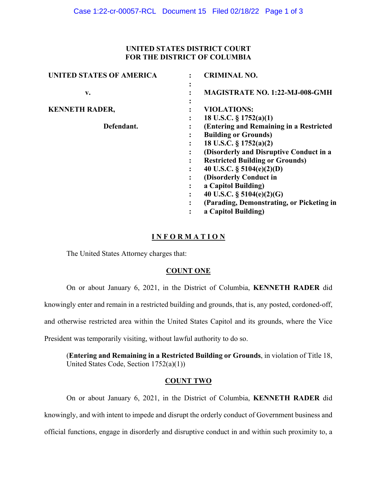## **UNITED STATES DISTRICT COURT FOR THE DISTRICT OF COLUMBIA**

| <b>UNITED STATES OF AMERICA</b> | <b>CRIMINAL NO.</b>                                                               |
|---------------------------------|-----------------------------------------------------------------------------------|
| v.                              | <b>MAGISTRATE NO. 1:22-MJ-008-GMH</b>                                             |
| <b>KENNETH RADER,</b>           | <b>VIOLATIONS:</b>                                                                |
| Defendant.                      | 18 U.S.C. § 1752(a)(1)<br>(Entering and Remaining in a Restricted                 |
|                                 | <b>Building or Grounds)</b><br>18 U.S.C. § 1752(a)(2)<br>٠                        |
|                                 | (Disorderly and Disruptive Conduct in a<br><b>Restricted Building or Grounds)</b> |
|                                 | 40 U.S.C. $\S$ 5104(e)(2)(D)<br>(Disorderly Conduct in                            |
|                                 | a Capitol Building)<br>40 U.S.C. $\S$ 5104(e)(2)(G)                               |
|                                 | (Parading, Demonstrating, or Picketing in<br>a Capitol Building)                  |
|                                 |                                                                                   |

# **I N F O R M A T I O N**

The United States Attorney charges that:

## **COUNT ONE**

On or about January 6, 2021, in the District of Columbia, **KENNETH RADER** did

knowingly enter and remain in a restricted building and grounds, that is, any posted, cordoned-off,

and otherwise restricted area within the United States Capitol and its grounds, where the Vice

President was temporarily visiting, without lawful authority to do so.

(**Entering and Remaining in a Restricted Building or Grounds**, in violation of Title 18, United States Code, Section 1752(a)(1))

### **COUNT TWO**

On or about January 6, 2021, in the District of Columbia, **KENNETH RADER** did knowingly, and with intent to impede and disrupt the orderly conduct of Government business and official functions, engage in disorderly and disruptive conduct in and within such proximity to, a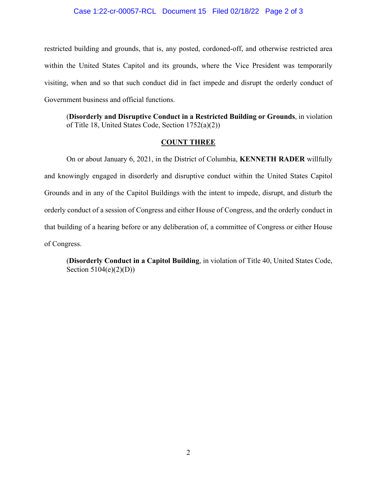#### Case 1:22-cr-00057-RCL Document 15 Filed 02/18/22 Page 2 of 3

restricted building and grounds, that is, any posted, cordoned-off, and otherwise restricted area within the United States Capitol and its grounds, where the Vice President was temporarily visiting, when and so that such conduct did in fact impede and disrupt the orderly conduct of Government business and official functions.

(**Disorderly and Disruptive Conduct in a Restricted Building or Grounds**, in violation of Title 18, United States Code, Section 1752(a)(2))

## **COUNT THREE**

On or about January 6, 2021, in the District of Columbia, **KENNETH RADER** willfully and knowingly engaged in disorderly and disruptive conduct within the United States Capitol Grounds and in any of the Capitol Buildings with the intent to impede, disrupt, and disturb the orderly conduct of a session of Congress and either House of Congress, and the orderly conduct in that building of a hearing before or any deliberation of, a committee of Congress or either House of Congress.

(**Disorderly Conduct in a Capitol Building**, in violation of Title 40, United States Code, Section 5104(e)(2)(D))